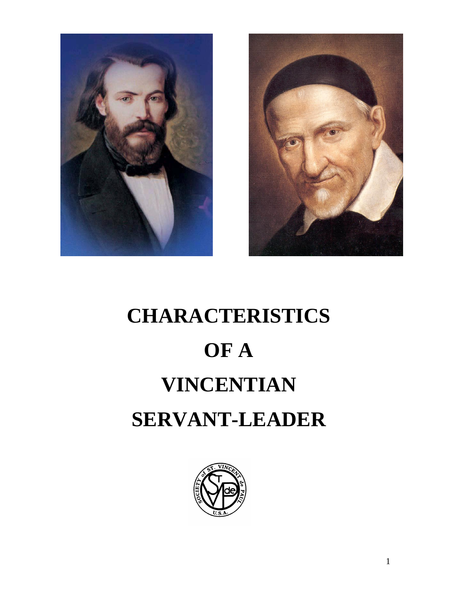



# **CHARACTERISTICS OF A VINCENTIAN SERVANT-LEADER**

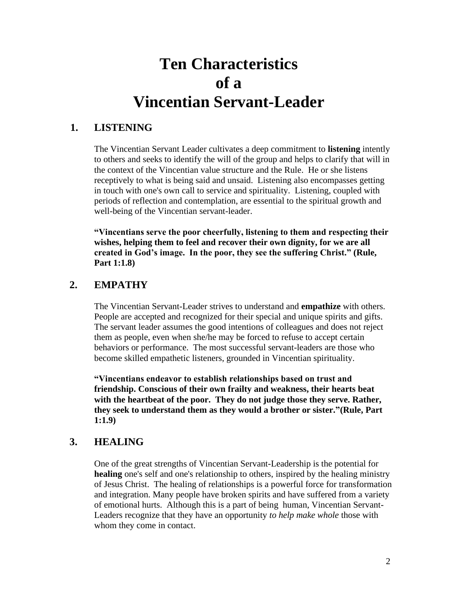# **Ten Characteristics of a Vincentian Servant-Leader**

# **1. LISTENING**

The Vincentian Servant Leader cultivates a deep commitment to **listening** intently to others and seeks to identify the will of the group and helps to clarify that will in the context of the Vincentian value structure and the Rule. He or she listens receptively to what is being said and unsaid. Listening also encompasses getting in touch with one's own call to service and spirituality. Listening, coupled with periods of reflection and contemplation, are essential to the spiritual growth and well-being of the Vincentian servant-leader.

**"Vincentians serve the poor cheerfully, listening to them and respecting their wishes, helping them to feel and recover their own dignity, for we are all created in God's image. In the poor, they see the suffering Christ." (Rule, Part 1:1.8)**

# **2. EMPATHY**

The Vincentian Servant-Leader strives to understand and **empathize** with others. People are accepted and recognized for their special and unique spirits and gifts. The servant leader assumes the good intentions of colleagues and does not reject them as people, even when she/he may be forced to refuse to accept certain behaviors or performance. The most successful servant-leaders are those who become skilled empathetic listeners, grounded in Vincentian spirituality.

**"Vincentians endeavor to establish relationships based on trust and friendship. Conscious of their own frailty and weakness, their hearts beat with the heartbeat of the poor. They do not judge those they serve. Rather, they seek to understand them as they would a brother or sister."(Rule, Part 1:1.9)**

# **3. HEALING**

One of the great strengths of Vincentian Servant-Leadership is the potential for **healing** one's self and one's relationship to others, inspired by the healing ministry of Jesus Christ. The healing of relationships is a powerful force for transformation and integration. Many people have broken spirits and have suffered from a variety of emotional hurts. Although this is a part of being human, Vincentian Servant-Leaders recognize that they have an opportunity *to help make whole* those with whom they come in contact.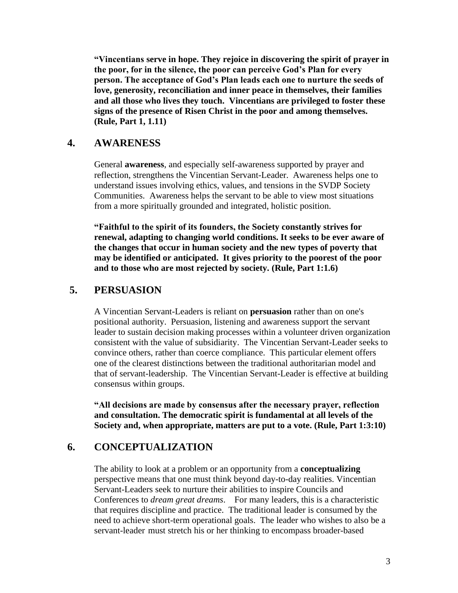**"Vincentians serve in hope. They rejoice in discovering the spirit of prayer in the poor, for in the silence, the poor can perceive God's Plan for every person. The acceptance of God's Plan leads each one to nurture the seeds of love, generosity, reconciliation and inner peace in themselves, their families and all those who lives they touch. Vincentians are privileged to foster these signs of the presence of Risen Christ in the poor and among themselves. (Rule, Part 1, 1.11)**

#### **4. AWARENESS**

General **awareness**, and especially self-awareness supported by prayer and reflection, strengthens the Vincentian Servant-Leader. Awareness helps one to understand issues involving ethics, values, and tensions in the SVDP Society Communities. Awareness helps the servant to be able to view most situations from a more spiritually grounded and integrated, holistic position.

**"Faithful to the spirit of its founders, the Society constantly strives for renewal, adapting to changing world conditions. It seeks to be ever aware of the changes that occur in human society and the new types of poverty that may be identified or anticipated. It gives priority to the poorest of the poor and to those who are most rejected by society. (Rule, Part 1:1.6)**

#### **5. PERSUASION**

A Vincentian Servant-Leaders is reliant on **persuasion** rather than on one's positional authority. Persuasion, listening and awareness support the servant leader to sustain decision making processes within a volunteer driven organization consistent with the value of subsidiarity. The Vincentian Servant-Leader seeks to convince others, rather than coerce compliance. This particular element offers one of the clearest distinctions between the traditional authoritarian model and that of servant-leadership. The Vincentian Servant-Leader is effective at building consensus within groups.

**"All decisions are made by consensus after the necessary prayer, reflection and consultation. The democratic spirit is fundamental at all levels of the Society and, when appropriate, matters are put to a vote. (Rule, Part 1:3:10)**

#### **6. CONCEPTUALIZATION**

The ability to look at a problem or an opportunity from a **conceptualizing**  perspective means that one must think beyond day-to-day realities. Vincentian Servant-Leaders seek to nurture their abilities to inspire Councils and Conferences to *dream great dreams*. For many leaders, this is a characteristic that requires discipline and practice. The traditional leader is consumed by the need to achieve short-term operational goals. The leader who wishes to also be a servant-leader must stretch his or her thinking to encompass broader-based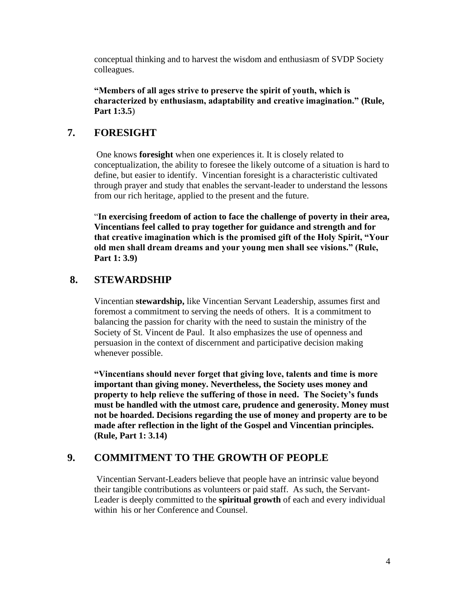conceptual thinking and to harvest the wisdom and enthusiasm of SVDP Society colleagues.

**"Members of all ages strive to preserve the spirit of youth, which is characterized by enthusiasm, adaptability and creative imagination." (Rule, Part 1:3.5**)

# **7. FORESIGHT**

One knows **foresight** when one experiences it. It is closely related to conceptualization, the ability to foresee the likely outcome of a situation is hard to define, but easier to identify. Vincentian foresight is a characteristic cultivated through prayer and study that enables the servant-leader to understand the lessons from our rich heritage, applied to the present and the future.

"**In exercising freedom of action to face the challenge of poverty in their area, Vincentians feel called to pray together for guidance and strength and for that creative imagination which is the promised gift of the Holy Spirit, "Your old men shall dream dreams and your young men shall see visions." (Rule, Part 1: 3.9)**

# **8. STEWARDSHIP**

Vincentian **stewardship,** like Vincentian Servant Leadership, assumes first and foremost a commitment to serving the needs of others. It is a commitment to balancing the passion for charity with the need to sustain the ministry of the Society of St. Vincent de Paul. It also emphasizes the use of openness and persuasion in the context of discernment and participative decision making whenever possible.

**"Vincentians should never forget that giving love, talents and time is more important than giving money. Nevertheless, the Society uses money and property to help relieve the suffering of those in need. The Society's funds must be handled with the utmost care, prudence and generosity. Money must not be hoarded. Decisions regarding the use of money and property are to be made after reflection in the light of the Gospel and Vincentian principles. (Rule, Part 1: 3.14)**

# **9. COMMITMENT TO THE GROWTH OF PEOPLE**

Vincentian Servant-Leaders believe that people have an intrinsic value beyond their tangible contributions as volunteers or paid staff. As such, the Servant-Leader is deeply committed to the **spiritual growth** of each and every individual within his or her Conference and Counsel.